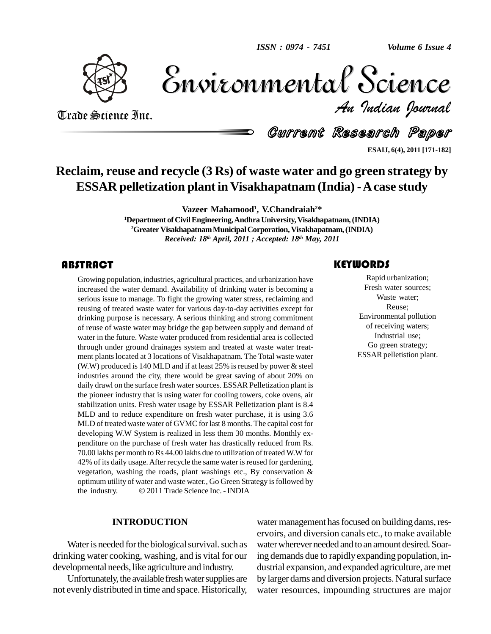

Volume 6 Issue 4 *Indian Journal* Volume 6 Issue 4

Trade Science Inc. Trade Science Inc.

Current Research Paper

**ESAIJ, 6(4), 2011 [171-182]**

### **Reclaim, reuse and recycle (3 Rs) of waste water and go green strategy by ESSAR pelletization plantin Visakhapatnam (India) -Acase study**

**Vazeer Mahamood 1 , V.Chandraiah <sup>2</sup>\***

**<sup>1</sup>Department of CivilEngineering,Andhra University,Visakhapatnam,(INDIA)** <sup>2</sup>Greater Visakhapatnam Municipal Corporation, Visakhapatnam, (INDIA) *Received: 18 th April, 2011 ; Accepted: 18 th May, 2011*

#### **ABSTRACT**

FIFT FIFT CHILE CHENGTIC TRACTED FIRE SERVICES CONTROLLATION CONTROLLATION increased the water demand. Availability of drinking water is becoming a serious issue to manage. To fight the growing water stress, reclaiming and Growing population, industries, agricultural practices, and urbanization have increased the water demand. Availability of drinking water is becoming a reusing of treated waste water for various day-to-day activities except for drinking purpose is necessary. A serious thinking and strong commitment of reuse of waste water may bridge the gap between supply and demand of water in the future. Waste water produced from residential area is collected through under ground drainages system and treated at waste water treat ment plants located at 3 locations of Visakhapatnam. The Total waste water (W.W) produced is 140 MLD and if at least 25% is reused by power  $&$  steel industries around the city, there would be great saving of about 20% on daily drawl on the surface fresh water sources. ESSAR Pelletization plant is the pioneer industry that is using water for cooling towers, coke ovens, air stabilization units. Fresh water usage by ESSAR Pelletization plant is 8.4 MLD and to reduce expenditure on fresh water purchase, it is using 3.6 MLD of treated waste water of GVMC for last 8 months. The capital cost for developing W.W System is realized in less them 30 months. Monthly ex penditure on the purchase of fresh water has drastically reduced from Rs. 70.00 lakhs per month to Rs 44.00 lakhs due to utilization of treated W.W for 42% of its daily usage. After recycle the same water is reused for gardening, vegetation, washing the roads, plant washings etc., By conservation &<br>optimum utility of water and waste water., Go Green Strategy is followed by<br>the industry.  $\textcircled{2011}$  Trade Science Inc. - INDIA optimum utility of water and waste water., Go Green Strategy isfollowed by

#### **INTRODUCTION**

Water is needed for the biological survival. such as drinking water cooking, washing, and is vital for our developmental needs, like agriculture and industry.

Unfortunately, the available fresh water supplies are not evenly distributed in time and space. Historically, water management has focused on building dams, reservoirs, and diversion canals etc., to make available water wherever needed and to an amount desired. Soaring demands due to rapidly expanding population, in dustrial expansion, and expanded agriculture, are met by larger dams and diversion projects. Natural surface water resources, impounding structures are major

Rapid urbanization;<br>Fresh water sources;<br>Waste water; Fresh water sources; Waste water; Reuse; Environmental pollution of receiving waters; Industrial use; Go green strategy; ESSAR pelletistion plant.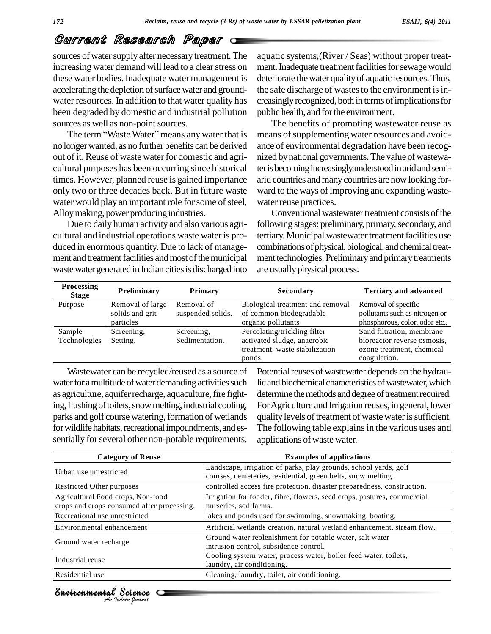sources of water supply after necessary treatment. The increasing water demand will lead to a clear stress on these water bodies. Inadequate water management is accelerating the depletion of surface water and groundwater resources. In addition to that water quality has been degraded by domestic and industrial pollution public l<br>sources as well as non-point sources. The<br>The term "Waste Water" means any water that is means sources as well as non-point sources.

no longerwanted, as no further benefits can be derived out of it.Reuse of waste water for domestic and agri cultural purposes has been occurring since historical times. However, planned reuse is gained importance only two or three decades back. But in future waste water would play an important role for some of steel, Alloymaking, power producing industries.

Due to daily human activity and also various agri cultural and industrial operations waste water is pro duced in enormous quantity. Due to lack of manage ment and treatment facilities and most of the municipal waste water generated in Indian cities is discharged into aquatic systems,(River / Seas) without proper treat ment. Inadequate treatment facilities for sewage would deteriorate the water quality of aquatic resources. Thus, the safe discharge of wastes to the environment is increasingly recognized, both in terms of implications for public health, and for the environment.

The benefits of promoting wastewater reuse as means of supplementing water resources and avoidance of environmental degradation have been recog nized by national governments. The value of wastewater is becoming increasingly understood in arid and semiarid countries andmanycountries are now looking for ward to the ways of improving and expanding waste water reuse practices.

Conventional wastewater treatment consists of the following stages: preliminary, primary, secondary, and tertiary. Municipal wastewater treatment facilities use combinations of physical, biological, and chemical treatment technologies. Preliminary and primary treatments are usually physical process.

| <b>Processing</b><br><b>Stage</b> | Preliminary      | Primary           | <b>Secondary</b>                                                        | <b>Tertiary and advanced</b>                                             |
|-----------------------------------|------------------|-------------------|-------------------------------------------------------------------------|--------------------------------------------------------------------------|
| Purpose                           | Removal of large | Removal of        | Biological treatment and removal                                        | Removal of specific                                                      |
|                                   | solids and grit  | suspended solids. | of common biodegradable                                                 | pollutants such as nitrogen or                                           |
|                                   | particles        |                   | organic pollutants                                                      | phosphorous, color, odor etc.,                                           |
| Sample                            | Screening,       | Screening,        | Percolating/trickling filter                                            | Sand filtration, membrane                                                |
| Technologies                      | Setting.         | Sedimentation.    | activated sludge, anaerobic<br>treatment, waste stabilization<br>ponds. | bioreactor reverse osmosis,<br>ozone treatment, chemical<br>coagulation. |

Wastewater can be recycled/reused as a source of water for a multitude of water demanding activities such as agriculture, aquifer recharge, aquaculture, fire fighting, flushing of toilets, snow melting, industrial cooling, parks and golf course watering, formation of wetlands for wildlife habitats, recreational impoundments, and essentially for several other non-potable requirements.

Potential reuses of wastewater depends on the hydraulic and biochemical characteristics of wastewater, which determine the methods and degree of treatment required. ForAgriculture and Irrigation reuses, in general, lower quality levels of treatment of waste water is sufficient. The following table explains in the various uses and applications of waste water.

| <b>Category of Reuse</b>                                                        | <b>Examples of applications</b>                                                                                                  |
|---------------------------------------------------------------------------------|----------------------------------------------------------------------------------------------------------------------------------|
| Urban use unrestricted                                                          | Landscape, irrigation of parks, play grounds, school yards, golf<br>courses, cemeteries, residential, green belts, snow melting. |
| Restricted Other purposes                                                       | controlled access fire protection, disaster preparedness, construction.                                                          |
| Agricultural Food crops, Non-food<br>crops and crops consumed after processing. | Irrigation for fodder, fibre, flowers, seed crops, pastures, commercial<br>nurseries, sod farms.                                 |
| Recreational use unrestricted                                                   | lakes and ponds used for swimming, snowmaking, boating.                                                                          |
| Environmental enhancement                                                       | Artificial wetlands creation, natural wetland enhancement, stream flow.                                                          |
| Ground water recharge                                                           | Ground water replenishment for potable water, salt water<br>intrusion control, subsidence control.                               |
| Industrial reuse                                                                | Cooling system water, process water, boiler feed water, toilets,<br>laundry, air conditioning.                                   |
| Residential use                                                                 | Cleaning, laundry, toilet, air conditioning.                                                                                     |

*Indian Journal*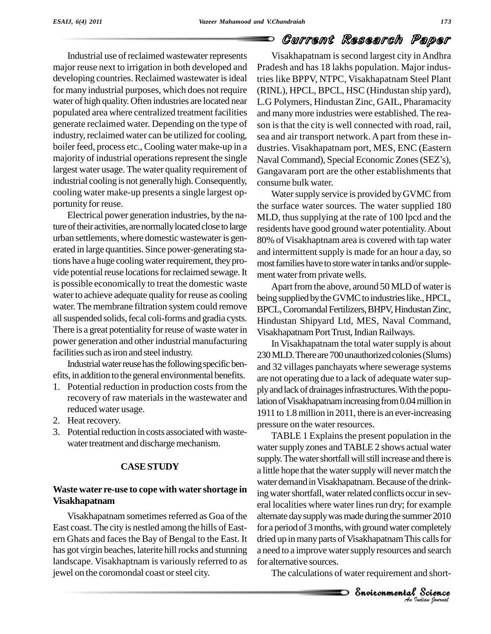Industrial use ofreclaimed wastewater represents major reuse next to irrigation in both developed and developing countries. Reclaimed wastewater is ideal for many industrial purposes, which does not require water of high quality. Often industries are located near populated area where centralized treatment facilities generate reclaimed water. Depending on the type of industry, reclaimed water can be utilized for cooling, boiler feed, process etc., Cooling water make-up in a largest water usage. The water quality requirement of industrial cooling is not generally high. Consequently, cooling water make-up presents a single largest op portunity for reuse.

Electrical power generation industries, by the nature of their activities, are normally located close to large urban settlements, where domestic wastewateris gen erated in large quantities. Since power-generating stations have a huge cooling water requirement, they provide potential reuse locations for reclaimed sewage. It is possible economically to treat the domestic waste water to achieve adequate quality for reuse as cooling water.The membrane filtration system could remove all suspended solids, fecal coli-forms and gradia cysts. There is a great potentiality for reuse of waste water in power generation and other industrial manufacturing facilities such as iron and steel industry.

Industrial water reuse has the following specific benefits, in addition to the general environmental benefits.

- 1. Potential reduction in production costs from the recovery of raw materials in the wastewater and reduced water usage.
- 2. Heat recovery.
- 3. Potential reduction in costs associated with wastewater treatment and discharge mechanism.

#### **CASESTUDY**

#### **Waste water re-use to cope with water shortage in Visakhapatnam**

Visakhapatnam sometimes referred as Goa of the East coast. The city is nestled among the hills of Eastern Ghats and faces the Bay of Bengal to the East. It has got virgin beaches, laterite hill rocks and stunning landscape. Visakhaptnam is variously referred to as jewel on the coromondal coast or steel city.

majority of industrial operations represent the single Naval Command), Special Economic Zones (SEZ's), Visakhapatnam is second largest city inAndhra Pradesh and has 18 lakhs population. Major industries like BPPV, NTPC, Visakhapatnam Steel Plant (RINL), HPCL, BPCL, HSC (Hindustan ship yard), L.G Polymers, Hindustan Zinc, GAIL, Pharamacity and manymore industries were established. The rea son is that the city is well connected with road, rail, sea and air transport network. A part from these in-<br>dustries. Visakhapatnam port, MES, ENC (Eastern<br>Naval Command), Special Economic Zones (SEZ's), dustries. Visakhapatnam port, MES, ENC (Eastern Gangavaram port are the other establishments that consume bulk water.

> Water supply service is provided by GVMC from the surface water sources. The water supplied 180 MLD, thus supplying at the rate of 100 lpcd and the residents have good ground water potentiality.About 80% of Visakhaptnam area is covered with tap water and intermittent supply is made for an hour a day, so most families have to store water in tanks and/or supplement water from private wells.

> Apart from the above, around 50 MLD of water is being supplied by the GVMC to industries like., HPCL, BPCL, Coromandal Fertilizers, BHPV, Hindustan Zinc, Hindustan Shipyard Ltd, MES, Naval Command, Visakhapatnam Port Trust, Indian Railways.

> In Visakhapatnam the total water supply is about 230 MLD. There are 700 unauthorized colonies (Slums) and 32 villages panchayats where sewerage systems are not operating due to a lack of adequate water supply and lack of drainages infrastructures. With the population of Visakhapatnam increasing from 0.04 million in 1911 to 1.8million in 2011, there is an ever-increasing pressure on the water resources.

for a period of 3 months, with ground water completely mpletely<br>
scalls for<br>
nd search<br>
nd short-<br> **Science** TABLE 1 Explains the present population in the water supply zones and TABLE 2 shows actual water supply. The water shortfall will still increase and there is a little hope that the water supply will never match the water demand in Visakhapatnam. Because of the drinking water shortfall, water related conflicts occur in several localities where water lines run dry; for example alternate day supply was made during the summer 2010 dried up in many parts of Visakhapatnam This calls for a need to a improve water supply resources and search for alternative sources.

The calculations of water requirement and short-



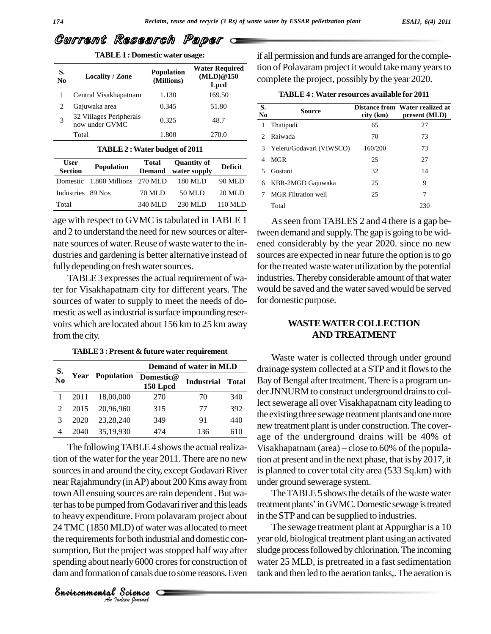| S.<br>N <sub>0</sub> | <b>Locality / Zone</b>                    | <b>Population</b><br>(Millions) | <b>Water Required</b><br>(MLD)@150<br>Lpcd |
|----------------------|-------------------------------------------|---------------------------------|--------------------------------------------|
|                      | Central Visakhapatnam                     | 1.130                           | 169.50                                     |
|                      | Gajuwaka area                             | 0.345                           | 51.80                                      |
| 3                    | 32 Villages Peripherals<br>now under GVMC | 0.325                           | 48.7                                       |
|                      | Total                                     | 1.800                           | 270.0                                      |

**TABLE1 : Domestic water usage:**

#### **TABLE2 :Water budget of 2011**

| <b>User</b>       |                                 | Total   | <b>Ouantity of</b>  |                | 4 MGF      |
|-------------------|---------------------------------|---------|---------------------|----------------|------------|
| <b>Section</b>    | <b>Population</b>               |         | Demand water supply | <b>Deficit</b> | 5 Gost     |
|                   | Domestic 1.800 Millions 270 MLD |         | 180 MLD             | 90 MLD         | 6 KBR      |
| Industries 89 Nos |                                 | 70 MLD  | 50 MLD              | 20 MLD         | <b>MGF</b> |
| Total             |                                 | 340 MLD | 230 MLD             | 110 MLD        | Total      |

age with respect to GVMC is tabulated in TABLE 1 and 2 to understand the need for new sources or alter nate sources of water. Reuse of waste water to the industries and gardening is better alternative instead of fully depending on fresh water sources.

TABLE 3 expresses the actual requirement of water for Visakhapatnam city for different years. The sources of water to supply to meet the needs of do mestic as well as industrial is surface impounding reservoirs which are located about 156 km to 25 km away from the city.

**TABLE3 : Present & futurewater requirement**

|                |      | Demand of water in MLD |                       |                   |              |
|----------------|------|------------------------|-----------------------|-------------------|--------------|
| S.<br>No       |      | <b>Year</b> Population | Domestic@<br>150 Lpcd | <b>Industrial</b> | <b>Total</b> |
|                | 2011 | 18,00,000              | 270                   | 70                | 340          |
| $\mathfrak{D}$ | 2015 | 20,96,960              | 315                   | 77                | 392          |
| 3              | 2020 | 23,28,240              | 349                   | 91                | 440          |
|                | 2040 | 35,19,930              | 474                   | 136               | 610          |

24 TMC (1850 MLD) of water was allocated to meet LD) of water w<br>or both industrian project was sto<br>arly 6000 crore<br>of canals due to<br>Science The following TABLE 4 shows the actual realization of the water for the year 2011. There are no new sources in and around the city, except Godavari River near Rajahmundry (in AP) about 200 Kms away from town All ensuing sources are rain dependent. But water has to be pumped from Godavari river and this leads to heavy expenditure. From polavaram project about the requirements for both industrial and domestic consumption, But the project was stopped half way after slud spending about nearly 6000 crores for construction of dam and formation of canals due to some reasons. Even

*Indian Journal*

Water **Required** tion of Polavaram project it would take many years to **(MLD)@150** complete the project, possibly by the year 2020. if all permission and funds are arranged for the comple-

| 1<br>$\mathcal{D}$ | Thatipudi<br>Raiwada       | 65<br>70 | 27  |
|--------------------|----------------------------|----------|-----|
|                    |                            |          |     |
|                    |                            |          | 73  |
| 3                  | Yeleru/Godavari (VIWSCO)   | 160/200  | 73  |
| 4                  | <b>MGR</b>                 | 25       | 27  |
|                    | Gostani                    | 32       | 14  |
| 6                  | KBR-2MGD Gajuwaka          | 25       | 9   |
|                    | <b>MGR</b> Filtration well | 25       | 7   |
|                    | Total                      |          | 230 |

Asseen from TABLES 2 and 4 there is a gap between demand and supply. The gap is going to be widened considerably by the year 2020. since no new sources are expected in near future the option is to go for the treated waste water utilization by the potential industries. Thereby considerable amount of that water would be saved and the water saved would be served for domestic purpose.

#### **WASTEWATERCOLLECTION AND TREATMENT**

Waste water is collected through under ground drainage system collected at a STP and itflowsto the **Demand of water in MLD** Bay of Bengal after treatment. There is a program un der JNNURM to construct underground drains to collect sewerage all over Visakhapatnam city leading to the existing three sewage treatment plants and one more new treatment plant is under construction.The cover age of the underground drains will be 40% of new treatment plant is under construction. The coverage of the underground drains will be 40% of Visakhapatnam (area) – close to 60% of the population at present and in the next phase, that is by 2017, it is planned to cover total city area (533 Sq.km) with under ground sewerage system.

> The TABLE 5 shows the details of the waste water treatment plants' in GVMC. Domestic sewage is treated in the STP and can be supplied to industries.

> The sewage treatment plant at Appurghar is a 10 year old, biological treatment plant using an activated sludge process followed by chlorination. The incoming water 25 MLD, is pretreated in a fast sedimentation tank and then led to the aeration tanks,.The aeration is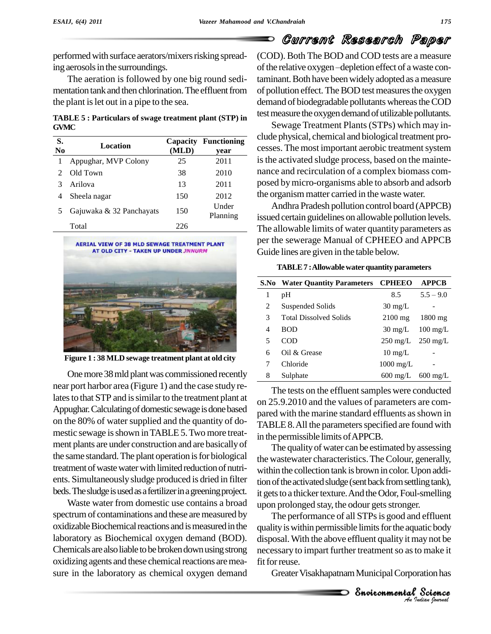performed with surface aerators/mixers risking spreading aerosols in the surroundings.

The aeration is followed by one big round sedi mentation tank and then chlorination. The effluent from the plant is let out in a pipe to the sea.

**TABLE 5 :** Particulars of swage treatment plant (STP) in<br> **Sewage Treatment Plants (STPs)** which may in-<br> **Sewage Treatment Plants (STPs)** which may in-**GVMC**

| S.<br>N <sub>0</sub> | Location                 | Capacity<br>(MLD) | <b>Functioning</b><br>year |
|----------------------|--------------------------|-------------------|----------------------------|
|                      | Appughar, MVP Colony     | 25                | 2011                       |
|                      | Old Town                 | 38                | 2010                       |
| 3                    | Arilova                  | 13                | 2011                       |
| 4                    | Sheela nagar             | 150               | 2012                       |
| 5                    | Gajuwaka & 32 Panchayats | 150               | Under<br>Planning          |
|                      | Total                    | 226               |                            |



**Figure 1 : 38 MLD sewage treatment plant at old city**

One more 38 mld plant was commissioned recently near port harbor area (Figure 1) and the case study relates to that STP and is similar to the treatment plant at Appughar. Calculating of domestic sewage is done based on the 80% of water supplied and the quantity of domestic sewage is shown in TABLE 5. Two more treatment plants are under construction and are basicallyof the same standard. The plant operation is for biological treatment of waste water with limited reduction of nutrients. Simultaneouslysludge produced isdried in filter beds. The sludge is used as a fertilizer in a greening project.

Waste water from domestic use contains a broad spectrum of contaminations and these are measured by oxidizable Biochemical reactions and is measured in the laboratory as Biochemical oxygen demand (BOD). Chemicals are also liable to be broken down using strong oxidizing agents and these chemical reactions are measure in the laboratory as chemical oxygen demand (COD). Both The BOD and COD tests are a measure of the relative oxygen-depletion effect of a waste contaminant. Both have been widely adopted as a measure of pollution effect. The BOD test measures the oxygen demand of biodegradable pollutants whereas the COD test measure the oxygen demand of utilizable pollutants.

clude physical, chemical and biological treatment processes. The most important aerobic treatment system is the activated sludge process, based on the maintenance and recirculation of a complex biomass com posed bymicro-organisms able to absorb and adsorb the organism matter carried in the waste water.

Planning issued certain guidelines on allowable pollution levels. Andhra Pradesh pollution control board (APPCB) The allowable limits of water quantity parameters as per the sewerage Manual of CPHEEO and APPCB Guide lines are given in the table below.

|   | S.No Water Quantity Parameters CPHEEO |                                       | <b>APPCB</b>       |
|---|---------------------------------------|---------------------------------------|--------------------|
| 1 | pН                                    | 8.5                                   | $5.5 - 9.0$        |
| 2 | Suspended Solids                      | $30 \text{ mg/L}$                     |                    |
| 3 | <b>Total Dissolved Solids</b>         | $2100$ mg                             | $1800$ mg          |
| 4 | <b>BOD</b>                            | $30 \text{ mg/L}$                     | $100 \text{ mg/L}$ |
| 5 | COD                                   | $250 \text{ mg/L}$ $250 \text{ mg/L}$ |                    |
| 6 | Oil $\&$ Grease                       | $10 \text{ mg/L}$                     |                    |
|   | Chloride                              | $1000 \text{ mg/L}$                   |                    |
| 8 | Sulphate                              | $600 \text{ mg/L}$                    | $600 \text{ mg/L}$ |

The tests on the effluent samples were conducted on 25.9.2010 and the values of parameters are com pared with the marine standard effluents as shown in TABLE 8. All the parameters specified are found with in the permissible limits ofAPPCB.

The quality of water can be estimated by assessing the wastewater characteristics. The Colour, generally, within the collection tank is brown in color. Upon addition of the activated sludge (sent back from settling tank), it gets to a thicker texture. And the Odor, Foul-smelling upon prolonged stay, the odour gets stronger.

quality is within permissible limits for the aquatic body disposal. With the above effluent quality it may not be<br>
necessary to impart further treatment so as to make it<br>
fit for reuse.<br>
Greater Visakhapatnam Municipal Corporation has<br> **Snoiconmental Science** atic body<br>ay not be<br>b make it<br>ation has<br>**Science** The performance of all STPs is good and effluent necessary to impart further treatment so as to make it fit for reuse.

Greater Visakhapatnam Municipal Corporation has

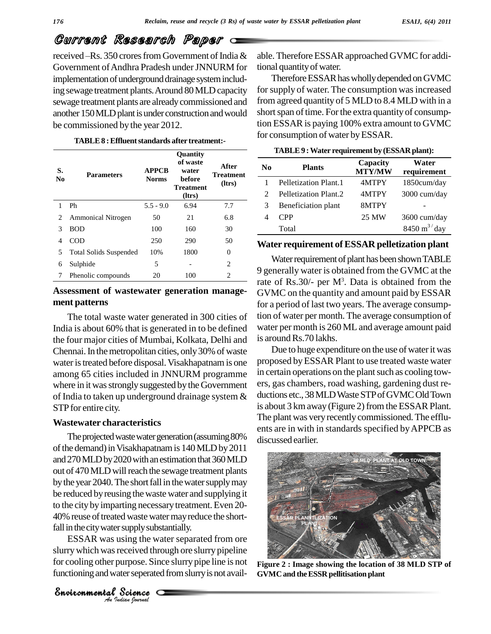received -Rs. 350 crores from Government of India & Government of Andhra Pradesh under JNNURM for implementation of underground drainage system including sewage treatment plants. Around 80 MLD capacity sewage treatment plants are alreadycommissioned and another 150 MLD plant is under construction and would be commissioned by the year 2012.

**TABLE8 :Effluentstandards after treatment:-**

| S.<br>$\mathbf{N}\mathbf{0}$ | <b>Parameters</b>             | <b>APPCB</b><br><b>Norms</b> | <b>Ouantity</b><br>of waste<br>water<br><b>before</b><br><b>Treatment</b><br>(ltrs) | After<br><b>Treatment</b><br>(ltrs) |   |
|------------------------------|-------------------------------|------------------------------|-------------------------------------------------------------------------------------|-------------------------------------|---|
| 1                            | Ph                            | $5.5 - 9.0$                  | 6.94                                                                                | 7.7                                 |   |
| 2                            | <b>Ammonical Nitrogen</b>     | 50                           | 21                                                                                  | 6.8                                 |   |
| 3                            | <b>BOD</b>                    | 100                          | 160                                                                                 | 30                                  |   |
| 4                            | COD                           | 250                          | 290                                                                                 | 50                                  | V |
| 5                            | <b>Total Solids Suspended</b> | 10%                          | 1800                                                                                | $\Omega$                            |   |
| 6                            | Sulphide                      | 5                            |                                                                                     | $\overline{2}$                      |   |
| 7                            | Phenolic compounds            | 20                           | 100                                                                                 | $\overline{c}$                      | 9 |

#### **Assessment of wastewater generation manage ment patterns**

The total waste water generated in 300 cities of India is about 60% that is generated in to be defined the four major cities of Mumbai, Kolkata, Delhi and Chennai. In the metropolitan cities, only 30% of waste water is treated before disposal. Visakhapatnam is one among 65 cities included in JNNURM programme where in it was strongly suggested by the Government of India to taken up underground drainage system & STP for entire city.

#### **Wastewater characteristics**

*Indian Journal*

fall in the city water supply substantially. The projected waste water generation (assuming 80% of the demand) in Visakhapatnam is 140 MLD by 2011 and 270 MLD by 2020 with an estimation that 360 MLD out of 470 MLD will reach the sewage treatment plants by the year 2040. The short fall in the water supply may be reduced byreusing the waste water and supplying it to the city by imparting necessary treatment. Even 20-40% reuse of treated waste water may reduce the short-

Science Science<br>Science Science<br>Science<br>Science ESSAR was using the water separated from ore slurry which was received through ore slurry pipeline for cooling other purpose. Since slurry pipe line is not functioning and water seperated from slurry is not avail-

able. Therefore ESSAR approached GVMC for additional quantityofwater.

Therefore ESSAR has wholly depended on GVMC for supply of water. The consumption was increased from agreed quantity of 5 MLD to 8.4 MLD with in a short span of time. For the extra quantity of consumption ESSARis paying 100% extra amount to GVMC for consumption of water byESSAR.

|                             | TADLE 7. Water requirement by (ESSAR plant). |                           |                               |
|-----------------------------|----------------------------------------------|---------------------------|-------------------------------|
| N <sub>0</sub>              | <b>Plants</b>                                | Capacity<br><b>MTY/MW</b> | Water<br>requirement          |
|                             | Pelletization Plant.1                        | 4MTPY                     | 1850cum/day                   |
| $\mathcal{D}_{\mathcal{L}}$ | Pelletization Plant.2                        | 4MTPY                     | 3000 cum/day                  |
| 3                           | Beneficiation plant                          | 8MTPY                     |                               |
|                             | <b>CPP</b>                                   | 25 MW                     | 3600 cum/day                  |
|                             | Total                                        |                           | $8450 \text{ m}^3/\text{day}$ |

#### **TABLE9 :Water requirement by (ESSAR plant):**

#### **Water requirement of ESSAR pelletization plant**

Water requirement of plant has been shown TABLE 9 generally water is obtained from the GVMC at the rate of Rs.30/- per  $M^3$ . Data is obtained from the GVMC on the quantity and amount paid by ESSAR for a period of last two years. The average consumption of water per month. The average consumption of water per month is 260 ML and average amount paid is around Rs.70 lakhs.

Due to huge expenditure on the use of water it was proposed byESSAR Plant to use treated waste water in certain operations on the plant such as cooling towers, gas chambers, road washing, gardening dust re ductions etc., 38 MLD Waste STP of GVMC Old Town is about 3 km away (Figure 2) from the ESSAR Plant. The plant was very recently commissioned. The effluents are in with in standards specified byAPPCB as discussed earlier.



**Figure 2 : Image showing the location of 38 MLD STP of GVMC and theESSR pellitisation plant**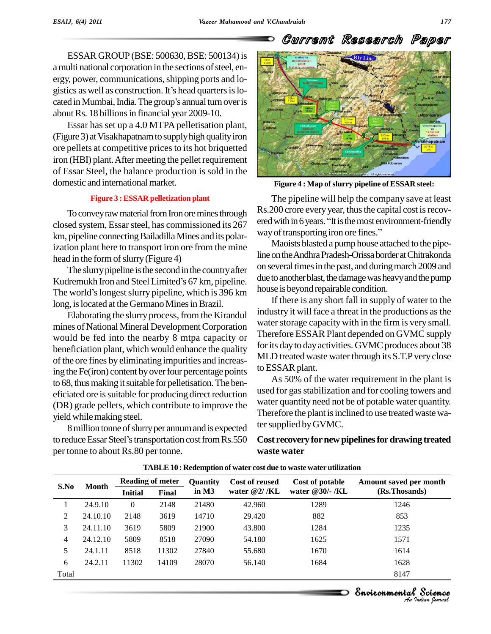ESSAR GROUP (BSE: 500630, BSE: 500134) is a multi national corporation in the sections of steel, energy, power, communications, shipping ports and logistics as well as construction. It's head quarters is logistics ergy, power, communications, shipping ports and logistics as well as construction. It's head quarters is located in Mumbai, India. The group's annual turn over is about Rs. 18 billions in financial year 2009-10.

Essar has set up a 4.0 MTPA pelletisation plant, (Figure 3) at Visakhapatnam to supply high quality iron ore pellets at competitive pricesto its hot briquetted iron (HBI) plant. After meeting the pellet requirement of Essar Steel, the balance production is sold in the domestic and international market.

#### **Figure 3 :ESSAR pelletization plant**

To convey raw material from Iron ore mines through closed system, Essar steel, has commissioned its 267 ered with in o years. It is the most en<br>
km pineline connecting Bailedilla Mines and its polar way of transporting iron ore fines." km, pipeline connecting Bailadilla Mines and its polarization plant here to transport iron ore from the mine head in the form of slurry (Figure 4)

The slurry pipeline is the second in the country after head in the form of slurry (Figure 4)<br>The slurry pipeline is the second in the country after<br>Kudremukh Iron and Steel Limited's 67 km, pipeline. The slurry pipeline is the second in the country after<br>Kudremukh Iron and Steel Limited's 67 km, pipeline. due to another<br>The world's longest slurry pipeline, which is 396 km long, is located at the Germano Mines in Brazil.

Elaborating the slurry process, from the Kirandul mines of National Mineral Development Corporation would be fed into the nearby 8 mtpa capacity or beneficiation plant, which would enhance the quality of the ore fines by eliminating impurities and increasing the Fe(iron) content by over four percentage points to 68, thus making it suitable for pelletisation. The beneficiated ore is suitable for producing direct reduction (DR) grade pellets, which contribute to improve the yield whilemaking steel.

8 million tonne of slurry per annum and is expected to reduce Essar Steel's transportation cost from Rs.550 per tonne to about Rs.80 per tonne.



Current Research Paper

**Figure 4 : Map ofslurry pipeline of ESSAR steel:**

The pipeline will help the company save at least Rs.200 crore every year, thus the capital cost is recovered with in 6 years. "It is the most environment-friendly way of transporting iron ore fines." ered with in 6 years. "It is the most environment-friendly

Maoists blasted a pump house attached to the pipeline on the Andhra Pradesh-Orissa border at Chitrakonda on several times in the past, and during march 2009 and due to another blast, the damage was heavy and the pump house is beyond repairable condition.

If there is any short fall in supply of water to the industry it will face a threat in the productions as the water storage capacity with in the firm is very small. Therefore ESSAR Plant depended on GVMC supply for its day to day activities. GVMC produces about 38 MLD treated waste water through its S.T.P very close to ESSAR plant.

As 50% of the water requirement in the plant is used for gas stabilization and for cooling towers and water quantity need not be of potable water quantity. Therefore the plant is inclined to use treated waste water supplied by GVMC.

**Cost recoveryfornewpipelinesfordrawing treated waste water**

| S.No  | <b>Month</b> | <b>Reading of meter</b> |       | <b>Quantity</b> | Cost of reused  | Cost of potable | Amount saved per month                      |
|-------|--------------|-------------------------|-------|-----------------|-----------------|-----------------|---------------------------------------------|
|       |              | <b>Initial</b>          | Final | in $M3$         | water $@2/$ /KL | water @30/- /KL | (Rs.Thosands)                               |
|       | 24.9.10      | $\theta$                | 2148  | 21480           | 42.960          | 1289            | 1246                                        |
| 2     | 24.10.10     | 2148                    | 3619  | 14710           | 29.420          | 882             | 853                                         |
| 3     | 24.11.10     | 3619                    | 5809  | 21900           | 43.800          | 1284            | 1235                                        |
| 4     | 24.12.10     | 5809                    | 8518  | 27090           | 54.180          | 1625            | 1571                                        |
| 5     | 24.1.11      | 8518                    | 11302 | 27840           | 55.680          | 1670            | 1614                                        |
| 6     | 24.2.11      | 11302                   | 14109 | 28070           | 56.140          | 1684            | 1628                                        |
| Total |              |                         |       |                 |                 |                 | 8147                                        |
|       |              |                         |       |                 |                 |                 |                                             |
|       |              |                         |       |                 |                 |                 | Environmental Science<br>.An Indian Nournal |

**TABLE10 : Redemption of water cost due to waste waterutilization**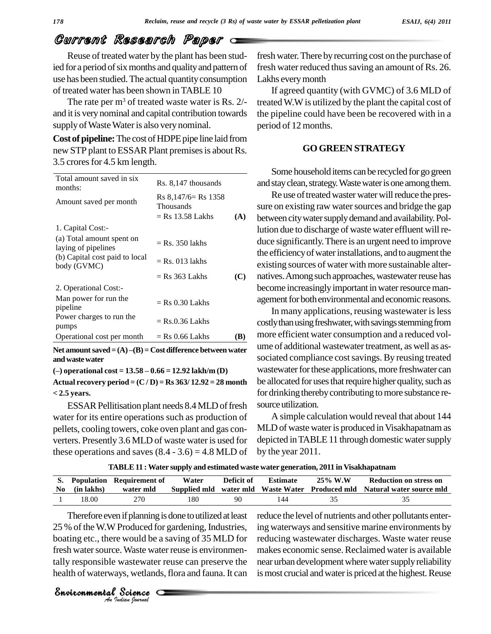Reuse of treated water by the plant has been studied for a period of six months and quality and pattern of use has been studied.The actual quantityconsumption of treated water has been shown inTABLE 10

The rate per  $m<sup>3</sup>$  of treated waste water is Rs. 2/and it is verynominal and capital contribution towards supply of Waste Water is also very nominal.

**Cost of pipeline:** The cost of HDPE pipe line laid from new STP plant to ESSAR Plant premises is about Rs. 3.5 crores for 4.5 km length.

| Total amount saved in six<br>months:             | Rs. 8,147 thousands                      |     | and s          |
|--------------------------------------------------|------------------------------------------|-----|----------------|
| Amount saved per month                           | $Rs 8,147/6=Rs 1358$<br><b>Thousands</b> |     | sure           |
|                                                  | $=$ Rs 13.58 Lakhs                       | (A) | betw           |
| 1. Capital Cost:-                                |                                          |     | lutio          |
| (a) Total amount spent on<br>laying of pipelines | $=$ Rs. 350 lakhs                        |     | duce           |
| (b) Capital cost paid to local<br>body (GVMC)    | $=$ Rs. 013 lakhs                        |     | the e<br>exist |
|                                                  | $=$ Rs 363 Lakhs                         | (C) | natiy          |
| 2. Operational Cost:-                            |                                          |     | becc           |
| Man power for run the<br>pipeline                | $=$ Rs 0.30 Lakhs                        |     | agen           |
| Power charges to run the<br>pumps                | $=$ Rs.0.36 Lakhs                        |     | costl          |
| Operational cost per month                       | $=$ Rs 0.66 Lakhs                        | (B) | mor            |

**andwastewater (ñ) operational cost <sup>=</sup> 13.58 <sup>ñ</sup> 0.66 <sup>=</sup> 12.92 lakh/m (D)**

**Actual recovery period = (C / D) = Rs363/ 12.92 = 28 month < 2.5 years.**

ESSAR Pellitisation plant needs 8.4 MLD of fresh water for its entire operations such as production of pellets, cooling towers, coke oven plant and gas con verters. Presently 3.6 MLD of waste wateris used for these operations and saves  $(8.4 - 3.6) = 4.8$  MLD of

fresh water. There by recurring cost on the purchase of fresh water reduced thus saving an amount of Rs. 26. Lakhs every month

If agreed quantity (with GVMC) of 3.6 MLD of treatedW.Wis utilized by the plant the capital cost of the pipeline could have been be recovered with in a period of 12 months.

#### **GO GREEN STRATEGY**

Some household items can be recycled for go green and stay clean, strategy. Waste water is one among them.

Re use of treated waster water will reduce the pressure on existing raw water sources and bridge the gap between city water supply demand and availability. Pollution due to discharge of waste water effluent willre duce significantly.There is an urgent need to improve the efficiency of water installations, and to augment the existing sources of water with more sustainable alter natives. Among such approaches, wastewater reuse has become increasingly important in water resource management for both environmental and economic reasons.

In many applications, reusing wastewater is less costly than using freshwater, with savings stemming from more efficient water consumption and a reduced vol ume of additional wastewater treatment, as well as associated compliance cost savings. By reusing treated wastewater for these applications, more freshwater can be allocated for uses that require higher quality, such as for drinking thereby contributing to more substance resource utilization.

A simple calculation would reveal that about 144 MLD of waste water is produced in Visakhapatnam as depicted in TABLE 11 through domestic water supply by the year 2011.

**TABLE11 :Water supply and estimated waste water generation, 2011 in Visakhapatnam**

| No. | (in lakhs) | S. Population Requirement of<br>water mld | Water | Deficit of | <b>Estimate</b> | 25% W.W | Reduction on stress on<br>Supplied mid water mid Waste Water Produced mid Natural water source mid |
|-----|------------|-------------------------------------------|-------|------------|-----------------|---------|----------------------------------------------------------------------------------------------------|
|     | 18.00      | 270                                       | 180   | 90         |                 |         |                                                                                                    |

*A* Produced for gate<br>
there would be a sature.<br>
Waste water reu<br>
ble wastewater reu<br>
rways, wetlands, fl<br>
tal Science 25 % of the W.W Produced for gardening, Industries, in Therefore even if planning is done to utilized at least boating etc., there would be a saving of 35 MLD for reducin fresh water source. Waste water reuse is environmentally responsible wastewater reuse can preserve the health of waterways, wetlands, flora and fauna. It can

*Indian Journal*

reduce the level of nutrients and other pollutants entering waterways and sensitive marine environments by reducing wastewater discharges. Waste water reuse makes economic sense.Reclaimed water is available near urban development where water supply reliability is most crucial and water is priced at the highest. Reuse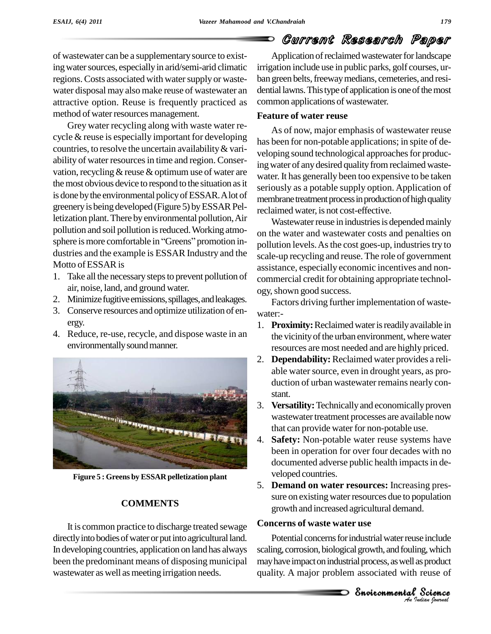of wastewater can be a supplementarysource to existing water sources, especially in arid/semi-arid climatic regions. Costs associated with water supply or wastewater disposal may also make reuse of wastewater an attractive option. Reuse is frequently practiced as method of water resources management.

Grey water recycling along with waste water re cycle & reuse is especially important for developing countries, to resolve the uncertain availability  $&$  variability of water resources in time and region. Conservation, recycling  $&$  reuse  $&$  optimum use of water are the most obvious device to respond to the situation as it is done bythe environmental policyofESSAR.Alot of greenery is being developed (Figure 5) by ESSAR Pelletization plant.There byenvironmental pollution,Air pollution and soil pollution is reduced. Working atmoletization plant. There by environmental pollution, Air<br>pollution and soil pollution is reduced. Working atmo-<br>sphere is more comfortable in "Greens" promotion in-<br>dustries and the example is ESSAR Industry and the Motto of ESSAR is

- 1. Take all the necessary steps to prevent pollution of air, noise, land, and ground water.
- 2. Minimize fugitive emissions, spillages, and leakages.
- 3. Conserve resources and optimize utilization of en ergy.
- 4. Reduce, re-use, recycle, and dispose waste in an environmentally sound manner.



**Figure 5 : Greens by ESSAR pelletization plant**

#### **COMMENTS**

It is common practice to discharge treated sewage directly into bodies of water or put into agricultural land. In developing countries, application on land has always been the predominant means of disposing municipal wastewater as well as meeting irrigation needs.

Application of reclaimed wastewater for landscape irrigation include use in public parks, golf courses, ur ban green belts, freeway medians, cemeteries, and residential lawns. This type of application is one of the most common applications of wastewater.

### **Feature of water reuse**

As of now, major emphasis of wastewater reuse has been for non-potable applications; in spite of de veloping sound technological approaches for producing water of any desired quality from reclaimed wastewater. It has generally been too expensive to be taken seriously as a potable supply option. Application of membrane treatment process in production of high quality reclaimed water, is not cost-effective.

Wastewater reuse in industries is depended mainly on the water and wastewater costs and penalties on pollution levels. As the cost goes-up, industries try to scale-up recycling and reuse. The role of government assistance, especially economic incentives and non commercial credit for obtaining appropriate technol ogy, shown good success.

Factors driving further implementation of wastewater:-

- 1. **Proximity:** Reclaimed water is readily available in the vicinity of the urban environment, where water resources are most needed and are highly priced.
- 2. **Dependability:** Reclaimed water provides a reli able water source, even in drought years, as production of urban wastewater remains nearly con stant.
- 3. **Versatility:** Technically and economically proven wastewater treatment processes are available now that can provide water for non-potable use.
- 4. **Safety:** Non-potable water reuse systems have been in operation for over four decades with no documented adverse public health impacts in developed countries.
- 5. **Demand on water resources:** Increasing pres sure on existing water resources due to population growth and increased agricultural demand.

#### **Concerns of waste water use**

**Ancient** *Indian*<br>*Indian Indian*<br>*I* **Science**<br>*Indian Iournal* e include<br>sg, which<br>sproduct<br>reuse of<br>**Science** Potential concerns for industrial water reuse include scaling, corrosion, biological growth, and fouling, which may have impact on industrial process, as well as product quality. A major problem associated with reuse of

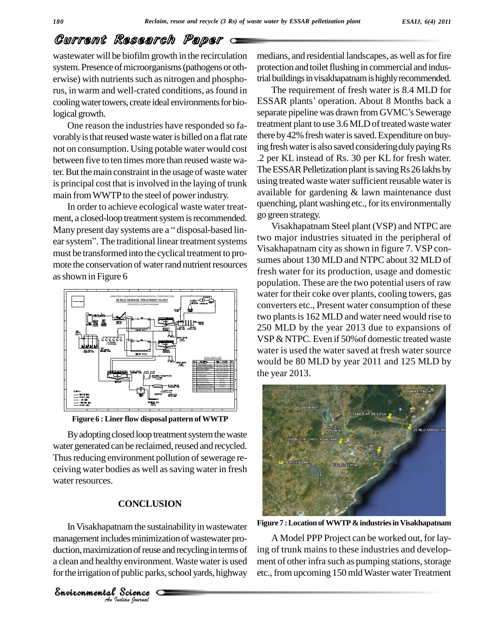wastewater will be biofilm growth in the recirculation system. Presence of microorganisms (pathogens or otherwise) with nutrients such as nitrogen and phosphorus, in warm and well-crated conditions, asfound in cooling water towers, create ideal environments for biological growth.

One reason the industries have responded so fa vorably is that reused waste water is billed on a flat rate not on consumption. Using potable water would cost between five to ten times more than reused waste water.But themain constraint in the usage of waste water is principal cost that is involved in the laying of trunk main from WWTP to the steel of power industry.

In order to achieve ecological waste water treat ment, a closed-loop treatment system is recommended. In order to achieve ecological waste water treat-<br>ment, a closed-loop treatment system is recommended. go g<br>Many present day systems are a "disposal-based linment, a closed-loop treatment system is recommended. go gt<br>Many present day systems are a "disposal-based lin-<br>ear system". The traditional linear treatment systems must be transformed into the cyclical treatment to pro mote the conservation of water rand nutrient resources as shown in Figure 6



**Figure 6 : Liner flow disposal pattern ofWWTP**

By adopting closed loop treatment system the waste water generated can be reclaimed, reused and recycled. Thus reducing environment pollution of sewerage receiving water bodies as well as saving water in fresh water resources.

#### **CONCLUSION**

In Visakhapatnam the sustainability in wastewater nam the sustaina<br>des minimizatic<br>tion of reuse and<br>y environment.<br>Public parks, so<br>Science management includes minimization of wastewater production, maximization of reuse and recycling in terms of a clean and healthy environment.Waste wateris used for the irrigation of public parks, school yards, highway

*Indian Journal*

medians, and residential landscapes, as well as for fire protection and toilet flushing in commercial and industrial buildings in visakhapatnam is highly recommended.

The requirement of fresh water is 8.4 MLD for trial buildings in visakhapatnam is highly recommended.<br>The requirement of fresh water is 8.4 MLD for<br>ESSAR plants' operation. About 8 Months back a The requirement of fresh water is 8.4 MLD for<br>ESSAR plants' operation. About 8 Months back a<br>separate pipeline was drawn from GVMC's Sewerage treatment plant to use 3.6 MLD of treated waste water there by 42% fresh water is saved. Expenditure on buying fresh water is also saved considering duly paying Rs .2 per KL instead of Rs. 30 per KL for fresh water. The ESSAR Pelletization plant is saving Rs 26 lakhs by using treated waste water sufficient reusable water is available for gardening & lawn maintenance dust quenching, plant washing etc., for its environmentally go green strategy.

Visakhapatnam Steel plant (VSP) and NTPC are two major industries situated in the peripheral of Visakhapatnam city as shown in figure 7. VSP con sumes about 130 MLD and NTPC about 32 MLD of fresh water for its production, usage and domestic population. These are the two potential users of raw water for their coke over plants, cooling towers, gas converters etc., Present water consumption of these two plants is 162 MLD and water need would rise to 250 MLD by the year 2013 due to expansions of VSP & NTPC. Even if 50% of domestic treated waste water is used the water saved at fresh water source would be 80 MLD by year 2011 and 125 MLD by the year 2013.



**Figure 7 :LocationofWWTP&industriesinVisakhapatnam**

A Model PPP Project can be worked out, for laying of trunk mains to these industries and develop ment of other infra such as pumping stations, storage etc., from upcoming 150 mld Waster water Treatment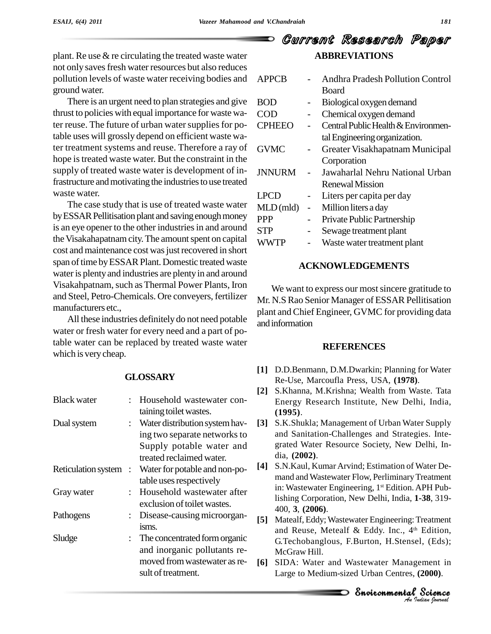plant. Re use & re circulating the treated waste water not only savesfresh water resources but also reduces pollution levels of waste water receiving bodies and ground water.

There is an urgent need to plan strategies and give thrust to policies with equal importance for waste water reuse. The future of urban water supplies for potable uses will grossly depend on efficient waste water treatment systems and reuse. Therefore a ray of hope is treated waste water. But the constraint in the supply of treated waste water is development of infrastructure and motivating the industries to use treated waste water.

The case study that is use of treated waste water by ESSAR Pellitisation plant and saving enough money is an eye opener to the other industries in and around the Visakahapatnam city. The amount spent on capital cost and maintenance cost was just recovered in short span of time by ESSAR Plant. Domestic treated waste water is plenty and industries are plenty in and around Visakahpatnam, such as Thermal Power Plants, Iron and Steel, Petro-Chemicals. Ore conveyers, fertilizer manufacturers etc.,

All these industries definitely do not need potable water or fresh water for every need and a part of potable water can be replaced by treated waste water which is very cheap.

#### **GLOSSARY**

| <b>Black water</b>    |  | Household wastewater con-      |                   | E <sub>1</sub> |
|-----------------------|--|--------------------------------|-------------------|----------------|
|                       |  | taining toilet wastes.         |                   | (1)            |
| Dual system           |  | Water distribution system hav- | [3]               | S.             |
|                       |  | ing two separate networks to   |                   | an             |
|                       |  | Supply potable water and       |                   | gr             |
|                       |  | treated reclaimed water.       |                   | di             |
| Reticulation system : |  | Water for potable and non-po-  | $[4]$             | S.             |
|                       |  | table uses respectively        |                   | m              |
| Gray water            |  | Household wastewater after     |                   | in             |
|                       |  | exclusion of toilet wastes.    |                   | lis            |
| Pathogens             |  | Disease-causing microorgan-    |                   | 40             |
|                       |  | isms.                          | $\lceil 5 \rceil$ | M              |
| Sludge                |  | The concentrated form organic  |                   | an<br>G.       |
|                       |  | and inorganic pollutants re-   |                   | M              |
|                       |  | moved from wastewater as re-   | [6]               | SI             |
|                       |  | sult of treatment.             |                   | L٤             |
|                       |  |                                |                   |                |

### Current Research Paper **ABBREVIATIONS**

| <b>APPCB</b>  |                          | <b>Andhra Pradesh Pollution Control</b> |
|---------------|--------------------------|-----------------------------------------|
|               |                          | <b>Board</b>                            |
| BOD           |                          | Biological oxygen demand                |
| COD           |                          | Chemical oxygen demand                  |
| <b>CPHEEO</b> |                          | Central Public Health & Environmen-     |
|               |                          | tal Engineering organization.           |
| <b>GVMC</b>   | $\overline{\phantom{0}}$ | Greater Visakhapatnam Municipal         |
|               |                          | Corporation                             |
| <b>JNNURM</b> |                          | Jawaharlal Nehru National Urban         |
|               |                          | Renewal Mission                         |
| LPCD          |                          | Liters per capita per day               |
| MLD (mld)     | $\overline{a}$           | Million liters a day                    |
| PPP           |                          | Private Public Partnership              |
| STP           | $\overline{\phantom{0}}$ | Sewage treatment plant                  |
| <b>WWTP</b>   |                          | Waste water treatment plant             |
|               |                          |                                         |

#### **ACKNOWLEDGEMENTS**

We want to express our most sincere gratitude to Mr. N.S Rao Senior Manager of ESSAR Pellitisation plant and Chief Engineer, GVMC for providing data andinformation

#### **REFERENCES**

- **[1]** D.D.Benmann, D.M.Dwarkin; Planning for Water Re-Use, Marcoufla Press, USA, **(1978)**.
- **[2]** S.Khanna, M.Krishna; Wealth from Waste. Tata Energy Research Institute, New Delhi, India, **(1995)**.
- **[3]** S.K.Shukla; Management of Urban Water Supply and Sanitation-Challenges and Strategies. Inte grated Water Resource Society, New Delhi, In dia, **(2002)**.
- **[4]** S.N.Kaul, Kumar Arvind; Estimation of Water De mand and Wastewater Flow, Perliminary Treatment in: Wastewater Engineering, 1<sup>st</sup> Edition. APH Publishing Corporation, New Delhi, India, **1-38**, 319- 400, **3**, **(2006)**.
- and Reuse, Metealf & Eddy. Inc., 4<sup>th</sup> Edition, Edition,<br>1, (Eds);<br>ement in<br>**2000**).<br>**Science** [5] Matealf, Eddy; Wastewater Engineering: Treatment G.Techobanglous, F.Burton, H.Stensel, (Eds); McGraw Hill.
- **[6]** SIDA: Water and Wastewater Management in Large to Medium-sized Urban Centres, **(2000)**.